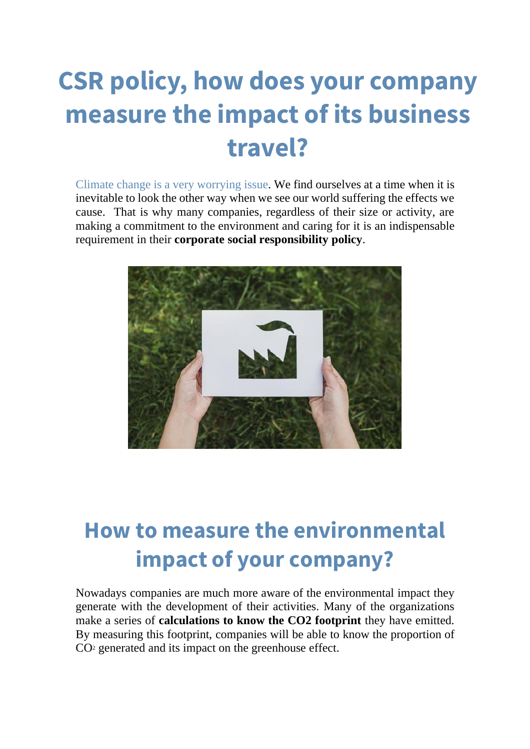## **CSR policy, how does your company measure the impact of its business travel?**

Climate change is a very worrying issue. We find ourselves at a time when it is inevitable to look the other way when we see our world suffering the effects we cause. That is why many companies, regardless of their size or activity, are making a commitment to the environment and caring for it is an indispensable requirement in their **corporate social responsibility policy**.



## **How to measure the environmental impact of your company?**

Nowadays companies are much more aware of the environmental impact they generate with the development of their activities. Many of the organizations make a series of **calculations to know the CO2 footprint** they have emitted. By measuring this footprint, companies will be able to know the proportion of CO<sup>2</sup> generated and its impact on the greenhouse effect.